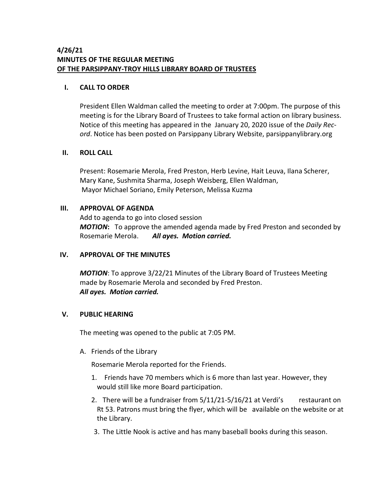# **4/26/21 MINUTES OF THE REGULAR MEETING OF THE PARSIPPANY-TROY HILLS LIBRARY BOARD OF TRUSTEES**

## **I. CALL TO ORDER**

President Ellen Waldman called the meeting to order at 7:00pm. The purpose of this meeting is for the Library Board of Trustees to take formal action on library business. Notice of this meeting has appeared in the January 20, 2020 issue of the *Daily Record*. Notice has been posted on Parsippany Library Website, parsippanylibrary.org

### **II. ROLL CALL**

Present: Rosemarie Merola, Fred Preston, Herb Levine, Hait Leuva, Ilana Scherer, Mary Kane, Sushmita Sharma, Joseph Weisberg, Ellen Waldman, Mayor Michael Soriano, Emily Peterson, Melissa Kuzma

### **III. APPROVAL OF AGENDA**

Add to agenda to go into closed session *MOTION***:** To approve the amended agenda made by Fred Preston and seconded by Rosemarie Merola. *All ayes. Motion carried.*

## **IV. APPROVAL OF THE MINUTES**

*MOTION*: To approve 3/22/21 Minutes of the Library Board of Trustees Meeting made by Rosemarie Merola and seconded by Fred Preston. *All ayes. Motion carried.*

## **V. PUBLIC HEARING**

The meeting was opened to the public at 7:05 PM.

A. Friends of the Library

Rosemarie Merola reported for the Friends.

- 1. Friends have 70 members which is 6 more than last year. However, they would still like more Board participation.
- 2. There will be a fundraiser from  $5/11/21-5/16/21$  at Verdi's restaurant on Rt 53. Patrons must bring the flyer, which will be available on the website or at the Library.
- 3. The Little Nook is active and has many baseball books during this season.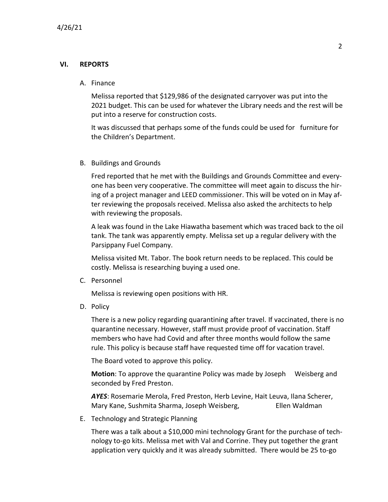## **VI. REPORTS**

### A. Finance

Melissa reported that \$129,986 of the designated carryover was put into the 2021 budget. This can be used for whatever the Library needs and the rest will be put into a reserve for construction costs.

It was discussed that perhaps some of the funds could be used for furniture for the Children's Department.

### B. Buildings and Grounds

Fred reported that he met with the Buildings and Grounds Committee and everyone has been very cooperative. The committee will meet again to discuss the hiring of a project manager and LEED commissioner. This will be voted on in May after reviewing the proposals received. Melissa also asked the architects to help with reviewing the proposals.

A leak was found in the Lake Hiawatha basement which was traced back to the oil tank. The tank was apparently empty. Melissa set up a regular delivery with the Parsippany Fuel Company.

Melissa visited Mt. Tabor. The book return needs to be replaced. This could be costly. Melissa is researching buying a used one.

C. Personnel

Melissa is reviewing open positions with HR.

D. Policy

There is a new policy regarding quarantining after travel. If vaccinated, there is no quarantine necessary. However, staff must provide proof of vaccination. Staff members who have had Covid and after three months would follow the same rule. This policy is because staff have requested time off for vacation travel.

The Board voted to approve this policy.

**Motion**: To approve the quarantine Policy was made by Joseph Weisberg and seconded by Fred Preston.

*AYES*: Rosemarie Merola, Fred Preston, Herb Levine, Hait Leuva, Ilana Scherer, Mary Kane, Sushmita Sharma, Joseph Weisberg, Filen Waldman

E. Technology and Strategic Planning

There was a talk about a \$10,000 mini technology Grant for the purchase of technology to-go kits. Melissa met with Val and Corrine. They put together the grant application very quickly and it was already submitted. There would be 25 to-go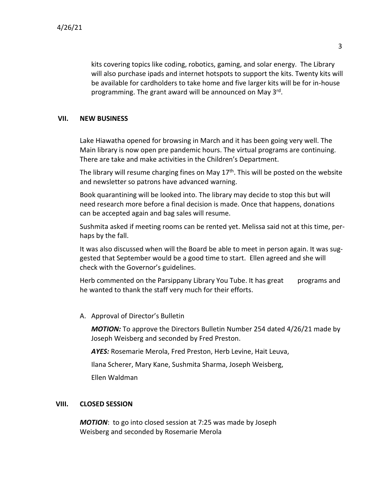kits covering topics like coding, robotics, gaming, and solar energy. The Library will also purchase ipads and internet hotspots to support the kits. Twenty kits will be available for cardholders to take home and five larger kits will be for in-house programming. The grant award will be announced on May 3<sup>rd</sup>.

### **VII. NEW BUSINESS**

Lake Hiawatha opened for browsing in March and it has been going very well. The Main library is now open pre pandemic hours. The virtual programs are continuing. There are take and make activities in the Children's Department.

The library will resume charging fines on May  $17<sup>th</sup>$ . This will be posted on the website and newsletter so patrons have advanced warning.

Book quarantining will be looked into. The library may decide to stop this but will need research more before a final decision is made. Once that happens, donations can be accepted again and bag sales will resume.

Sushmita asked if meeting rooms can be rented yet. Melissa said not at this time, perhaps by the fall.

It was also discussed when will the Board be able to meet in person again. It was suggested that September would be a good time to start. Ellen agreed and she will check with the Governor's guidelines.

Herb commented on the Parsippany Library You Tube. It has great programs and he wanted to thank the staff very much for their efforts.

A. Approval of Director's Bulletin

*MOTION:* To approve the Directors Bulletin Number 254 dated 4/26/21 made by Joseph Weisberg and seconded by Fred Preston.

*AYES:* Rosemarie Merola, Fred Preston, Herb Levine, Hait Leuva,

Ilana Scherer, Mary Kane, Sushmita Sharma, Joseph Weisberg,

Ellen Waldman

## **VIII. CLOSED SESSION**

*MOTION*: to go into closed session at 7:25 was made by Joseph Weisberg and seconded by Rosemarie Merola